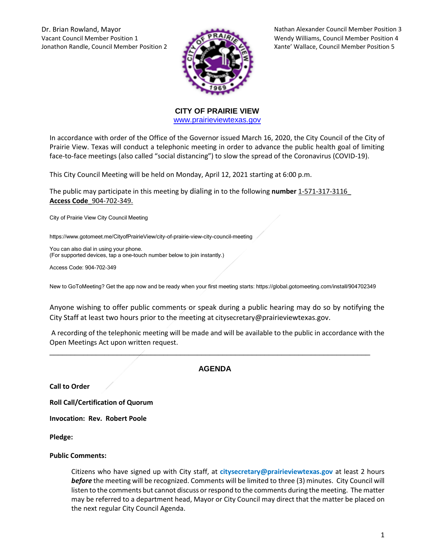Dr. Brian Rowland, Mayor Nathan Alexander Council Member Position 3 Vacant Council Member Position 1 Wendy Williams, Council Member Position 4 Jonathon Randle, Council Member Position 2 Xante' Wallace, Council Member Position 5



**CITY OF PRAIRIE VIEW**  [www.prairieviewtexas.gov](http://www.prairieviewtexas.gov/)

In accordance with order of the Office of the Governor issued March 16, 2020, the City Council of the City of Prairie View. Texas will conduct a telephonic meeting in order to advance the public health goal of limiting face-to-face meetings (also called "social distancing") to slow the spread of the Coronavirus (COVID-19).

This City Council Meeting will be held on Monday, April 12, 2021 starting at 6:00 p.m.

The public may participate in this meeting by dialing in to the following **number** 1-571-317-3116\_ **Access Code**\_904-702-349.

City of Prairie View City Council Meeting

https://www.gotomeet.me/CityofPrairieView/city-of-prairie-view-city-council-meeting

You can also dial in using your phone. (For supported devices, tap a one-touch number below to join instantly.)

Access Code: 904-702-349

New to GoToMeeting? Get the app now and be ready when your first meeting starts: https://global.gotomeeting.com/install/904702349

Anyone wishing to offer public comments or speak during a public hearing may do so by notifying the City Staff at least two hours prior to the meeting at citysecretary@prairieviewtexas.gov.

A recording of the telephonic meeting will be made and will be available to the public in accordance with the Open Meetings Act upon written request.

# **AGENDA**

\_\_\_\_\_\_\_\_\_\_\_\_\_\_\_\_\_\_\_\_\_\_\_\_\_\_\_\_\_\_\_\_\_\_\_\_\_\_\_\_\_\_\_\_\_\_\_\_\_\_\_\_\_\_\_\_\_\_\_\_\_\_\_\_\_\_\_\_\_\_\_\_\_\_\_\_

**Call to Order**

**Roll Call/Certification of Quorum**

**Invocation: Rev. Robert Poole**

**Pledge:** 

#### **Public Comments:**

Citizens who have signed up with City staff, at **citysecretary@prairieviewtexas.gov** at least 2 hours *before* the meeting will be recognized. Comments will be limited to three (3) minutes. City Council will listen to the comments but cannot discuss or respond to the comments during the meeting. The matter may be referred to a department head, Mayor or City Council may direct that the matter be placed on the next regular City Council Agenda.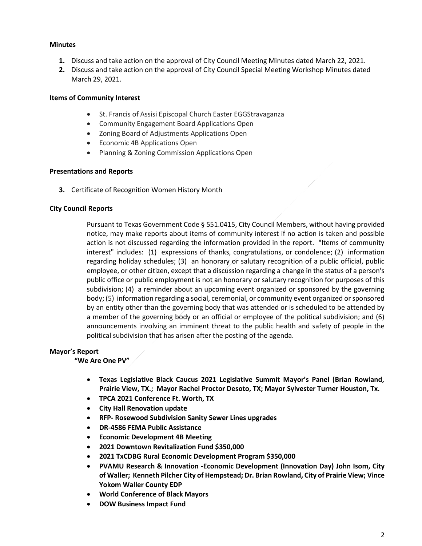# **Minutes**

- **1.** Discuss and take action on the approval of City Council Meeting Minutes dated March 22, 2021.
- **2.** Discuss and take action on the approval of City Council Special Meeting Workshop Minutes dated March 29, 2021.

# **Items of Community Interest**

- St. Francis of Assisi Episcopal Church Easter EGGStravaganza
- Community Engagement Board Applications Open
- Zoning Board of Adjustments Applications Open
- Economic 4B Applications Open
- Planning & Zoning Commission Applications Open

# **Presentations and Reports**

**3.** Certificate of Recognition Women History Month

# **City Council Reports**

Pursuant to Texas Government Code § 551.0415, City Council Members, without having provided notice, may make reports about items of community interest if no action is taken and possible action is not discussed regarding the information provided in the report. "Items of community interest" includes: (1) expressions of thanks, congratulations, or condolence; (2) information regarding holiday schedules; (3) an honorary or salutary recognition of a public official, public employee, or other citizen, except that a discussion regarding a change in the status of a person's public office or public employment is not an honorary or salutary recognition for purposes of this subdivision; (4) a reminder about an upcoming event organized or sponsored by the governing body; (5) information regarding a social, ceremonial, or community event organized or sponsored by an entity other than the governing body that was attended or is scheduled to be attended by a member of the governing body or an official or employee of the political subdivision; and (6) announcements involving an imminent threat to the public health and safety of people in the political subdivision that has arisen after the posting of the agenda.

# **Mayor's Report**

# **"We Are One PV"**

- **Texas Legislative Black Caucus 2021 Legislative Summit Mayor's Panel (Brian Rowland, Prairie View, TX.; Mayor Rachel Proctor Desoto, TX; Mayor Sylvester Turner Houston, Tx.**
- **TPCA 2021 Conference Ft. Worth, TX**
- **City Hall Renovation update**
- **RFP- Rosewood Subdivision Sanity Sewer Lines upgrades**
- **DR-4586 FEMA Public Assistance**
- **Economic Development 4B Meeting**
- **2021 Downtown Revitalization Fund \$350,000**
- **2021 TxCDBG Rural Economic Development Program \$350,000**
- **PVAMU Research & Innovation -Economic Development (Innovation Day) John Isom, City of Waller; Kenneth Pilcher City of Hempstead; Dr. Brian Rowland, City of Prairie View; Vince Yokom Waller County EDP**
- **World Conference of Black Mayors**
- **DOW Business Impact Fund**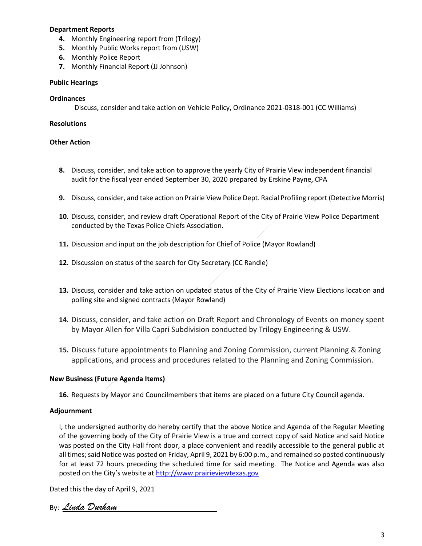### **Department Reports**

- **4.** Monthly Engineering report from (Trilogy)
- **5.** Monthly Public Works report from (USW)
- **6.** Monthly Police Report
- **7.** Monthly Financial Report (JJ Johnson)

#### **Public Hearings**

#### **Ordinances**

Discuss, consider and take action on Vehicle Policy, Ordinance 2021-0318-001 (CC Williams)

### **Resolutions**

### **Other Action**

- **8.** Discuss, consider, and take action to approve the yearly City of Prairie View independent financial audit for the fiscal year ended September 30, 2020 prepared by Erskine Payne, CPA
- **9.** Discuss, consider, and take action on Prairie View Police Dept. Racial Profiling report (Detective Morris)
- **10.** Discuss, consider, and review draft Operational Report of the City of Prairie View Police Department conducted by the Texas Police Chiefs Association.
- **11.** Discussion and input on the job description for Chief of Police (Mayor Rowland)
- **12.** Discussion on status of the search for City Secretary (CC Randle)
- **13.** Discuss, consider and take action on updated status of the City of Prairie View Elections location and polling site and signed contracts (Mayor Rowland)
- **14.** Discuss, consider, and take action on Draft Report and Chronology of Events on money spent by Mayor Allen for Villa Capri Subdivision conducted by Trilogy Engineering & USW.
- **15.** Discuss future appointments to Planning and Zoning Commission, current Planning & Zoning applications, and process and procedures related to the Planning and Zoning Commission.

# **New Business (Future Agenda Items)**

**16.** Requests by Mayor and Councilmembers that items are placed on a future City Council agenda.

# **Adjournment**

I, the undersigned authority do hereby certify that the above Notice and Agenda of the Regular Meeting of the governing body of the City of Prairie View is a true and correct copy of said Notice and said Notice was posted on the City Hall front door, a place convenient and readily accessible to the general public at all times; said Notice was posted on Friday, April 9, 2021 by 6:00 p.m., and remained so posted continuously for at least 72 hours preceding the scheduled time for said meeting. The Notice and Agenda was also posted on the City's website at [http://www.prairieviewtexas.gov](http://www.prairieviewtexas.gov/)

Dated this the day of April 9, 2021

By: *Linda Durham*